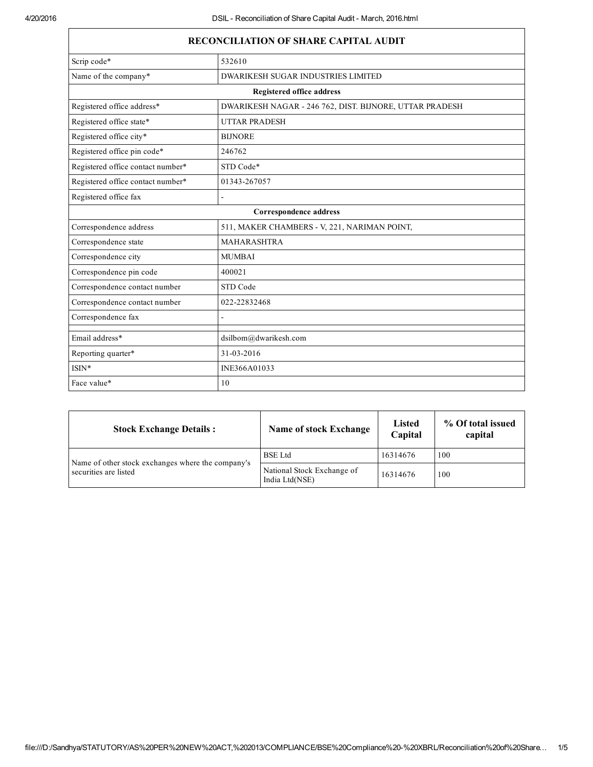| <b>RECONCILIATION OF SHARE CAPITAL AUDIT</b> |                                                         |  |  |  |
|----------------------------------------------|---------------------------------------------------------|--|--|--|
| Scrip code*                                  | 532610                                                  |  |  |  |
| Name of the company*                         | <b>DWARIKESH SUGAR INDUSTRIES LIMITED</b>               |  |  |  |
| <b>Registered office address</b>             |                                                         |  |  |  |
| Registered office address*                   | DWARIKESH NAGAR - 246 762, DIST. BIJNORE, UTTAR PRADESH |  |  |  |
| Registered office state*                     | <b>UTTAR PRADESH</b>                                    |  |  |  |
| Registered office city*                      | <b>BIJNORE</b>                                          |  |  |  |
| Registered office pin code*                  | 246762                                                  |  |  |  |
| Registered office contact number*            | STD Code*                                               |  |  |  |
| Registered office contact number*            | 01343-267057                                            |  |  |  |
| Registered office fax                        | L.                                                      |  |  |  |
| Correspondence address                       |                                                         |  |  |  |
| Correspondence address                       | 511, MAKER CHAMBERS - V, 221, NARIMAN POINT,            |  |  |  |
| Correspondence state                         | <b>MAHARASHTRA</b>                                      |  |  |  |
| Correspondence city                          | <b>MUMBAI</b>                                           |  |  |  |
| Correspondence pin code                      | 400021                                                  |  |  |  |
| Correspondence contact number                | STD Code                                                |  |  |  |
| Correspondence contact number                | 022-22832468                                            |  |  |  |
| Correspondence fax                           |                                                         |  |  |  |
| Email address*                               | dsilbom@dwarikesh.com                                   |  |  |  |
| Reporting quarter*                           | 31-03-2016                                              |  |  |  |
| $ISIN*$                                      | INE366A01033                                            |  |  |  |
| Face value*                                  | 10                                                      |  |  |  |

| <b>Stock Exchange Details:</b>                    | <b>Name of stock Exchange</b>                | <b>Listed</b><br>Capital | % Of total issued<br>capital |
|---------------------------------------------------|----------------------------------------------|--------------------------|------------------------------|
| Name of other stock exchanges where the company's | <b>BSE</b> Ltd                               | 16314676                 | 100                          |
| securities are listed                             | National Stock Exchange of<br>India Ltd(NSE) | 16314676                 | 100                          |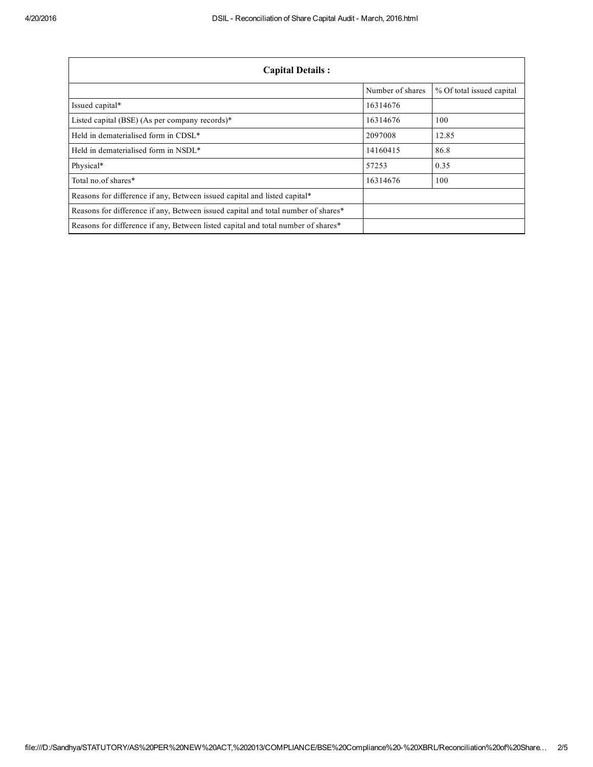| <b>Capital Details:</b>                                                           |                  |                           |  |
|-----------------------------------------------------------------------------------|------------------|---------------------------|--|
|                                                                                   | Number of shares | % Of total issued capital |  |
| Issued capital*                                                                   | 16314676         |                           |  |
| Listed capital (BSE) (As per company records)*                                    | 16314676         | 100                       |  |
| Held in dematerialised form in CDSL*                                              | 2097008          | 12.85                     |  |
| Held in dematerialised form in NSDL*                                              | 14160415         | 86.8                      |  |
| Physical*                                                                         | 57253            | 0.35                      |  |
| Total no.of shares*                                                               | 16314676         | 100                       |  |
| Reasons for difference if any, Between issued capital and listed capital*         |                  |                           |  |
| Reasons for difference if any, Between issued capital and total number of shares* |                  |                           |  |
| Reasons for difference if any, Between listed capital and total number of shares* |                  |                           |  |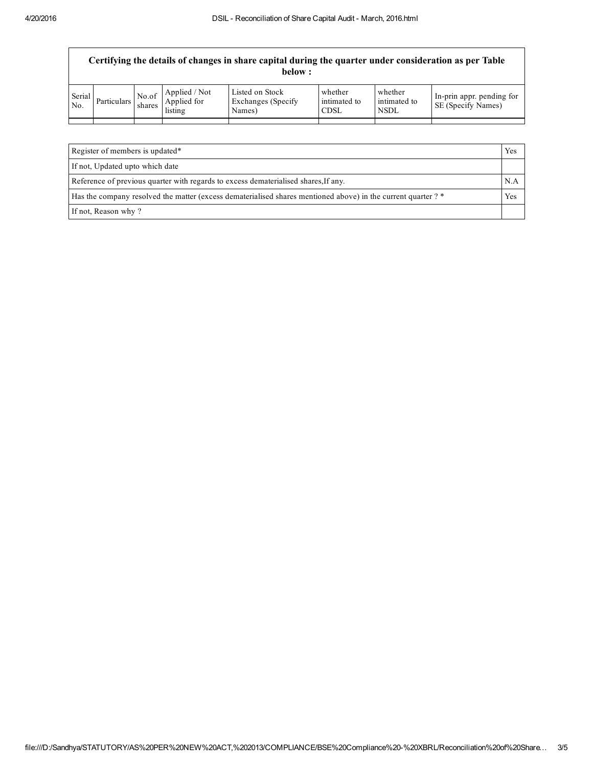|               |             |                 |                                         | Certifying the details of changes in share capital during the quarter under consideration as per Table<br>below : |                                        |                                        |                                                 |
|---------------|-------------|-----------------|-----------------------------------------|-------------------------------------------------------------------------------------------------------------------|----------------------------------------|----------------------------------------|-------------------------------------------------|
| Serial<br>No. | Particulars | No.of<br>shares | Applied / Not<br>Applied for<br>listing | Listed on Stock<br>Exchanges (Specify)<br>Names)                                                                  | whether<br>intimated to<br><b>CDSL</b> | whether<br>intimated to<br><b>NSDL</b> | In-prin appr. pending for<br>SE (Specify Names) |
|               |             |                 |                                         |                                                                                                                   |                                        |                                        |                                                 |
|               |             |                 |                                         |                                                                                                                   |                                        |                                        |                                                 |

| Register of members is updated*                                                                              | Yes |
|--------------------------------------------------------------------------------------------------------------|-----|
| If not, Updated upto which date                                                                              |     |
| Reference of previous quarter with regards to excess dematerialised shares, If any.                          | N.A |
| Has the company resolved the matter (excess dematerialised shares mentioned above) in the current quarter? * |     |
| If not, Reason why?                                                                                          |     |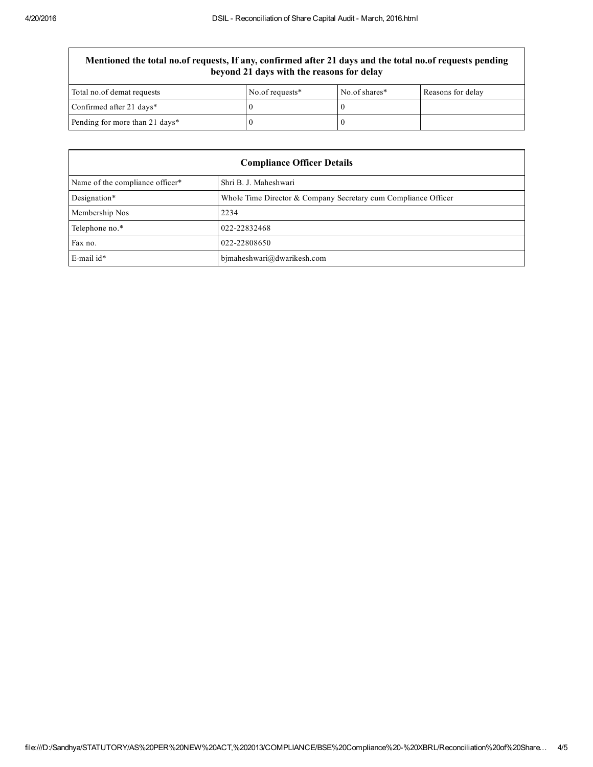## Mentioned the total no.of requests, If any, confirmed after 21 days and the total no.of requests pending beyond 21 days with the reasons for delay

| Total no.of demat requests     | No.of requests $*$ | No.of shares* | Reasons for delay |
|--------------------------------|--------------------|---------------|-------------------|
| Confirmed after 21 days*       |                    |               |                   |
| Pending for more than 21 days* |                    |               |                   |

| <b>Compliance Officer Details</b> |                                                                |  |
|-----------------------------------|----------------------------------------------------------------|--|
| Name of the compliance officer*   | Shri B. J. Maheshwari                                          |  |
| Designation*                      | Whole Time Director & Company Secretary cum Compliance Officer |  |
| Membership Nos                    | 2234                                                           |  |
| Telephone no.*                    | 022-22832468                                                   |  |
| Fax no.                           | 022-22808650                                                   |  |
| $E$ -mail id*                     | bjmaheshwari@dwarikesh.com                                     |  |